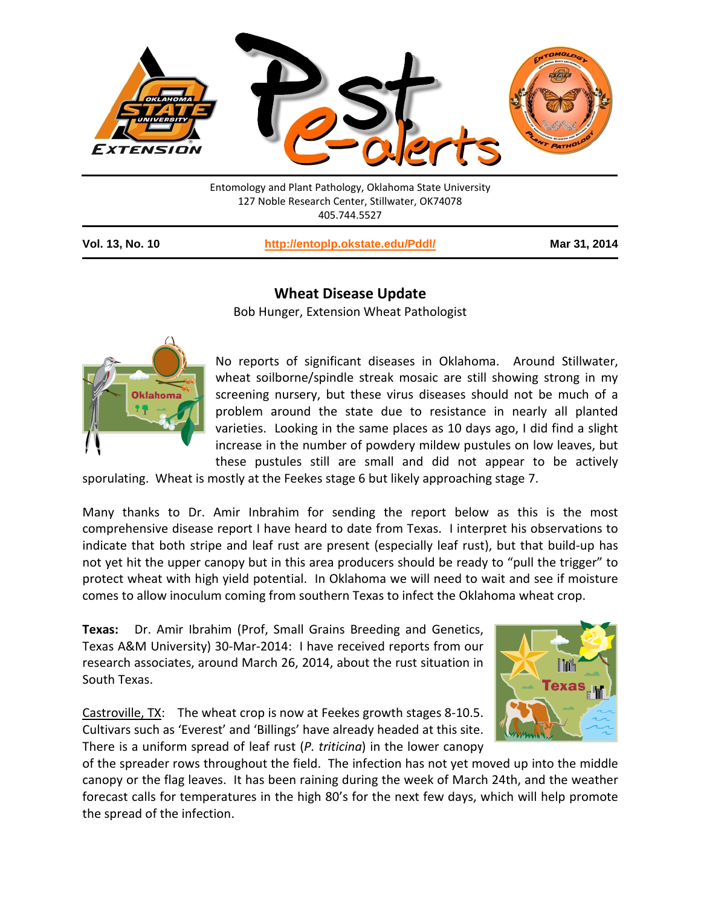

Entomology and Plant Pathology, Oklahoma State University 127 Noble Research Center, Stillwater, OK74078 405.744.5527

**Vol. 13, No. 10 <http://entoplp.okstate.edu/Pddl/> Mar 31, 2014**

## **Wheat Disease Update**

Bob Hunger, Extension Wheat Pathologist



No reports of significant diseases in Oklahoma. Around Stillwater, wheat soilborne/spindle streak mosaic are still showing strong in my screening nursery, but these virus diseases should not be much of a problem around the state due to resistance in nearly all planted varieties. Looking in the same places as 10 days ago, I did find a slight increase in the number of powdery mildew pustules on low leaves, but these pustules still are small and did not appear to be actively

sporulating. Wheat is mostly at the Feekes stage 6 but likely approaching stage 7.

Many thanks to Dr. Amir Inbrahim for sending the report below as this is the most comprehensive disease report I have heard to date from Texas. I interpret his observations to indicate that both stripe and leaf rust are present (especially leaf rust), but that build-up has not yet hit the upper canopy but in this area producers should be ready to "pull the trigger" to protect wheat with high yield potential. In Oklahoma we will need to wait and see if moisture comes to allow inoculum coming from southern Texas to infect the Oklahoma wheat crop.

**Texas:** Dr. Amir Ibrahim (Prof, Small Grains Breeding and Genetics, Texas A&M University) 30-Mar-2014: I have received reports from our research associates, around March 26, 2014, about the rust situation in South Texas.

Castroville, TX: The wheat crop is now at Feekes growth stages 8-10.5. Cultivars such as 'Everest' and 'Billings' have already headed at this site. There is a uniform spread of leaf rust (*P. triticina*) in the lower canopy



of the spreader rows throughout the field. The infection has not yet moved up into the middle canopy or the flag leaves. It has been raining during the week of March 24th, and the weather forecast calls for temperatures in the high 80's for the next few days, which will help promote the spread of the infection.